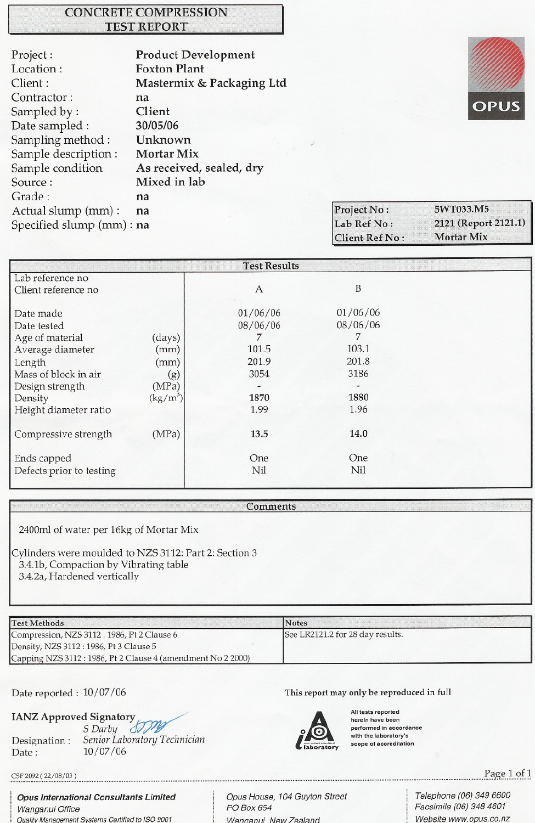## **CONCRETE COMPRESSION TEST REPORT**

| Project:                  | <b>Product Development</b> |
|---------------------------|----------------------------|
| Location:                 | <b>Foxton Plant</b>        |
| Client:                   | Mastermix & Packaging Ltd  |
| Contractor:               | na                         |
| Sampled by:               | Client                     |
| Date sampled :            | 30/05/06                   |
| Sampling method:          | Unknown                    |
| Sample description :      | <b>Mortar Mix</b>          |
| Sample condition          | As received, sealed, dry   |
| Source:                   | Mixed in lab               |
| Grade:                    | na                         |
| Actual slump (mm) :       | na                         |
| Specified slump (mm) : na |                            |
|                           |                            |



5WT033.M5 Project No: 2121 (Report 2121.1) Lab Ref No: Mortar Mix **Client Ref No:** 

| <b>Test Results</b>      |            |            |          |  |  |  |
|--------------------------|------------|------------|----------|--|--|--|
| Lab reference no         |            |            |          |  |  |  |
| Client reference no      |            | A          | B        |  |  |  |
|                          |            | 01/06/06   | 01/06/06 |  |  |  |
| Date made                |            |            |          |  |  |  |
| Date tested              |            | 08/06/06   | 08/06/06 |  |  |  |
| Age of material          | (days)     |            | 7        |  |  |  |
| Average diameter         | (mm)       | 101.5      | 103.1    |  |  |  |
| Length                   | (mm)       | 201.9      | 201.8    |  |  |  |
| Mass of block in air     | (g)        | 3054       | 3186     |  |  |  |
| Design strength          | (MPa)      |            |          |  |  |  |
| Density                  | $(kg/m^3)$ | 1870       | 1880     |  |  |  |
| Height diameter ratio    |            | 1.99       | 1.96     |  |  |  |
|                          |            |            |          |  |  |  |
| Compressive strength     | (MPa)      | 13.5       | 14.0     |  |  |  |
|                          |            |            |          |  |  |  |
| Ends capped              |            | <b>One</b> | One      |  |  |  |
| Defects prior to testing |            | Nil        | Nil      |  |  |  |
|                          |            |            |          |  |  |  |

"

**Comments** 

2400ml of water per 16kg of Mortar Mix

Cylinders were moulded to NZS 3112: Part 2: Section 3 3.4.1b,Compaction by Vibrating table

3.4.2a, Hardened vertically

| <b>Test Methods</b>                                          | <b>Notes</b>                     |
|--------------------------------------------------------------|----------------------------------|
| Compression, NZS 3112: 1986, Pt 2 Clause 6                   | See LR2121.2 for 28 day results. |
| Density, NZS 3112 : 1986, Pt 3 Clause 5                      |                                  |
| Capping NZS 3112 : 1986, Pt 2 Clause 4 (amendment No 2 2000) |                                  |

IANZ Approved Signatory

Date reported: 10/07/06 This report may only be reproduced in full



All tests reported herein have been performed in accordance .<br>with the laboratory's scope of accreditation

الله المسافر الله عليه الله عليه الله عليه الله عليه الله عليه الله عليه الله عليه الله عليه الله عليه الله عليه الله عليه الله عليه الله عليه الله عليه الله عليه الله عليه الله عليه الله عليه الله عليه الله عليه الله علي

, *OpUS International Consultants Limited* Wanganui Office Quality Management Systems Certified to ISO 9001

S Darby **SMY** 

Designation: *Senior Laboratory Technician*

Opus House, 104 Guyton Street PO Box 654 Wanaanui. New Zealand

Telephone (06) 349 6600 Facsimile (06) 348 4601 Website www.opus.co.nz